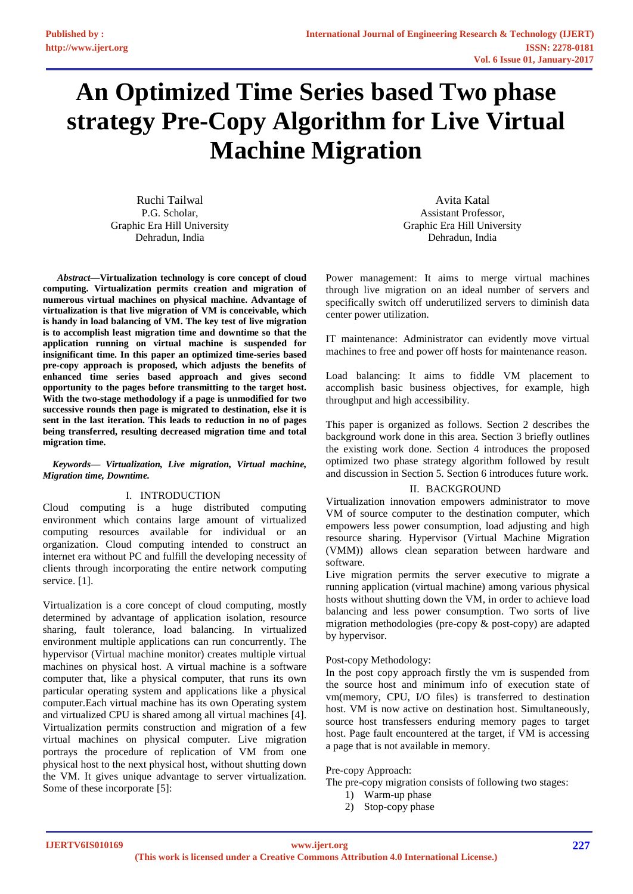# **An Optimized Time Series based Two phase strategy Pre-Copy Algorithm for Live Virtual Machine Migration**

Ruchi Tailwal P.G. Scholar, Graphic Era Hill University Dehradun, India

*Abstract***—Virtualization technology is core concept of cloud computing. Virtualization permits creation and migration of numerous virtual machines on physical machine. Advantage of virtualization is that live migration of VM is conceivable, which is handy in load balancing of VM. The key test of live migration is to accomplish least migration time and downtime so that the application running on virtual machine is suspended for insignificant time. In this paper an optimized time-series based pre-copy approach is proposed, which adjusts the benefits of enhanced time series based approach and gives second opportunity to the pages before transmitting to the target host. With the two-stage methodology if a page is unmodified for two successive rounds then page is migrated to destination, else it is sent in the last iteration. This leads to reduction in no of pages being transferred, resulting decreased migration time and total migration time.** 

#### *Keywords— Virtualization, Live migration, Virtual machine, Migration time, Downtime.*

## I. INTRODUCTION

Cloud computing is a huge distributed computing environment which contains large amount of virtualized computing resources available for individual or an organization. Cloud computing intended to construct an internet era without PC and fulfill the developing necessity of clients through incorporating the entire network computing service. [1].

Virtualization is a core concept of cloud computing, mostly determined by advantage of application isolation, resource sharing, fault tolerance, load balancing. In virtualized environment multiple applications can run concurrently. The hypervisor (Virtual machine monitor) creates multiple virtual machines on physical host. A virtual machine is a software computer that, like a physical computer, that runs its own particular operating system and applications like a physical computer.Each virtual machine has its own Operating system and virtualized CPU is shared among all virtual machines [4]. Virtualization permits construction and migration of a few virtual machines on physical computer. Live migration portrays the procedure of replication of VM from one physical host to the next physical host, without shutting down the VM. It gives unique advantage to server virtualization. Some of these incorporate [5]:

Avita Katal Assistant Professor, Graphic Era Hill University Dehradun, India

Power management: It aims to merge virtual machines through live migration on an ideal number of servers and specifically switch off underutilized servers to diminish data center power utilization.

IT maintenance: Administrator can evidently move virtual machines to free and power off hosts for maintenance reason.

Load balancing: It aims to fiddle VM placement to accomplish basic business objectives, for example, high throughput and high accessibility.

This paper is organized as follows. Section 2 describes the background work done in this area. Section 3 briefly outlines the existing work done. Section 4 introduces the proposed optimized two phase strategy algorithm followed by result and discussion in Section 5. Section 6 introduces future work.

#### II. BACKGROUND

Virtualization innovation empowers administrator to move VM of source computer to the destination computer, which empowers less power consumption, load adjusting and high resource sharing. Hypervisor (Virtual Machine Migration (VMM)) allows clean separation between hardware and software.

Live migration permits the server executive to migrate a running application (virtual machine) among various physical hosts without shutting down the VM, in order to achieve load balancing and less power consumption. Two sorts of live migration methodologies (pre-copy & post-copy) are adapted by hypervisor.

## Post-copy Methodology:

In the post copy approach firstly the vm is suspended from the source host and minimum info of execution state of vm(memory, CPU, I/O files) is transferred to destination host. VM is now active on destination host. Simultaneously, source host transfessers enduring memory pages to target host. Page fault encountered at the target, if VM is accessing a page that is not available in memory.

#### Pre-copy Approach:

The pre-copy migration consists of following two stages:

- 1) Warm-up phase
- 2) Stop-copy phase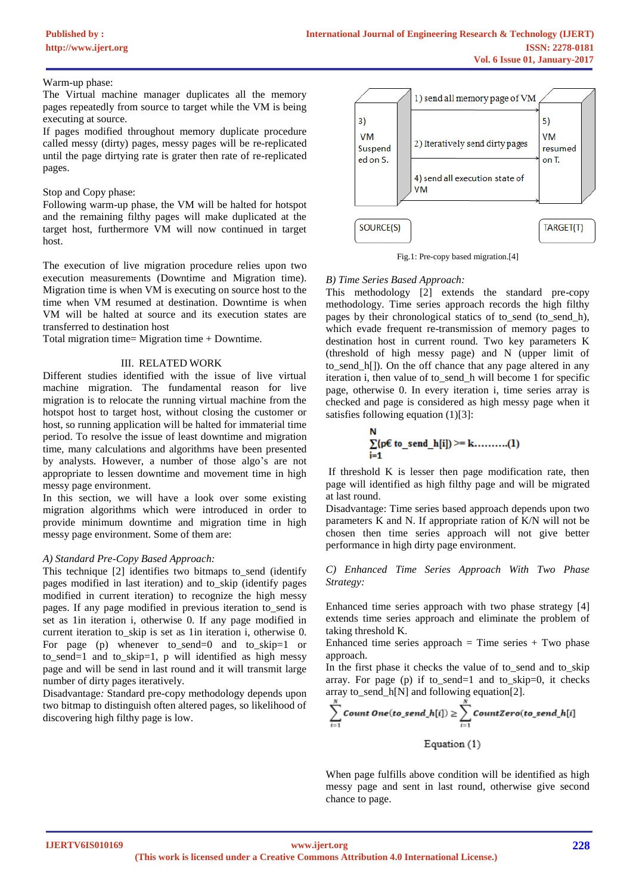#### Warm-up phase:

The Virtual machine manager duplicates all the memory pages repeatedly from source to target while the VM is being executing at source.

If pages modified throughout memory duplicate procedure called messy (dirty) pages, messy pages will be re-replicated until the page dirtying rate is grater then rate of re-replicated pages.

#### Stop and Copy phase:

Following warm-up phase, the VM will be halted for hotspot and the remaining filthy pages will make duplicated at the target host, furthermore VM will now continued in target host.

The execution of live migration procedure relies upon two execution measurements (Downtime and Migration time). Migration time is when VM is executing on source host to the time when VM resumed at destination. Downtime is when VM will be halted at source and its execution states are transferred to destination host

Total migration time= Migration time + Downtime.

## III. RELATED WORK

Different studies identified with the issue of live virtual machine migration. The fundamental reason for live migration is to relocate the running virtual machine from the hotspot host to target host, without closing the customer or host, so running application will be halted for immaterial time period. To resolve the issue of least downtime and migration time, many calculations and algorithms have been presented by analysts. However, a number of those algo's are not appropriate to lessen downtime and movement time in high messy page environment.

In this section, we will have a look over some existing migration algorithms which were introduced in order to provide minimum downtime and migration time in high messy page environment. Some of them are:

## *A) Standard Pre-Copy Based Approach:*

This technique [2] identifies two bitmaps to\_send (identify pages modified in last iteration) and to\_skip (identify pages modified in current iteration) to recognize the high messy pages. If any page modified in previous iteration to\_send is set as 1in iteration i, otherwise 0. If any page modified in current iteration to\_skip is set as 1in iteration i, otherwise 0. For page (p) whenever to\_send=0 and to\_skip=1 or to\_send=1 and to\_skip=1, p will identified as high messy page and will be send in last round and it will transmit large number of dirty pages iteratively.

Disadvantage*:* Standard pre-copy methodology depends upon two bitmap to distinguish often altered pages, so likelihood of discovering high filthy page is low.



Fig.1: Pre-copy based migration.[4]

## *B) Time Series Based Approach:*

This methodology [2] extends the standard pre-copy methodology. Time series approach records the high filthy pages by their chronological statics of to\_send (to\_send\_h), which evade frequent re-transmission of memory pages to destination host in current round. Two key parameters K (threshold of high messy page) and N (upper limit of to\_send\_h[]). On the off chance that any page altered in any iteration i, then value of to\_send\_h will become 1 for specific page, otherwise 0. In every iteration i, time series array is checked and page is considered as high messy page when it satisfies following equation  $(1)[3]$ :

If threshold K is lesser then page modification rate, then page will identified as high filthy page and will be migrated at last round.

Disadvantage: Time series based approach depends upon two parameters K and N. If appropriate ration of K/N will not be chosen then time series approach will not give better performance in high dirty page environment.

*C) Enhanced Time Series Approach With Two Phase Strategy:*

Enhanced time series approach with two phase strategy [4] extends time series approach and eliminate the problem of taking threshold K.

Enhanced time series approach  $=$  Time series  $+$  Two phase approach.

In the first phase it checks the value of to\_send and to\_skip array. For page (p) if to\_send=1 and to\_skip=0, it checks array to\_send\_h[N] and following equation[2].

$$
\sum_{i=1}^{N} Count One(to\_send\_h[i]) \geq \sum_{i=1}^{N} CountZero(to\_send\_h[i]
$$

Equation (1)

When page fulfills above condition will be identified as high messy page and sent in last round, otherwise give second chance to page.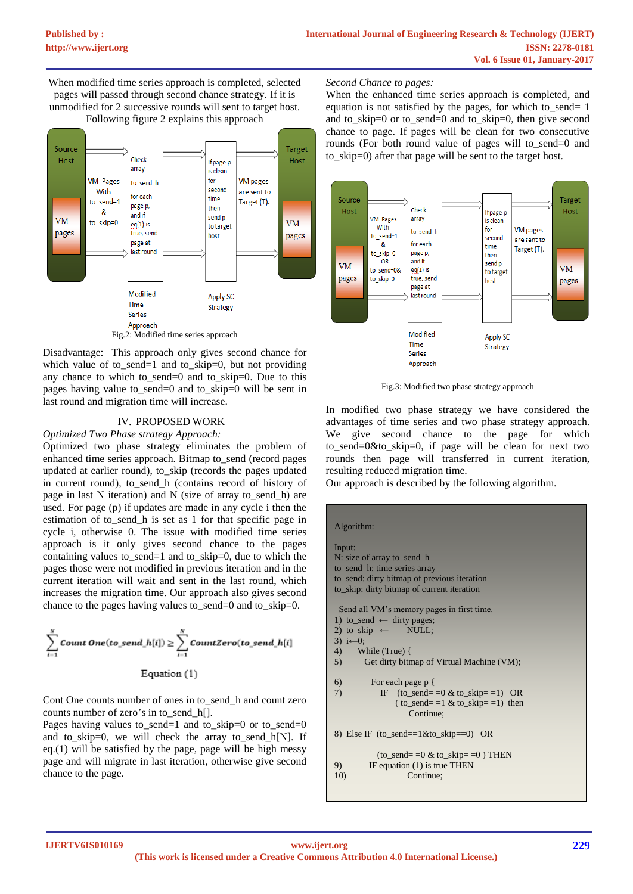When modified time series approach is completed, selected pages will passed through second chance strategy. If it is unmodified for 2 successive rounds will sent to target host. Following figure 2 explains this approach



Disadvantage: This approach only gives second chance for which value of to\_send=1 and to\_skip=0, but not providing any chance to which to\_send=0 and to\_skip=0. Due to this pages having value to\_send=0 and to\_skip=0 will be sent in last round and migration time will increase.

#### IV. PROPOSED WORK

*Optimized Two Phase strategy Approach:*

Optimized two phase strategy eliminates the problem of enhanced time series approach. Bitmap to\_send (record pages updated at earlier round), to\_skip (records the pages updated in current round), to send h (contains record of history of page in last N iteration) and N (size of array to\_send\_h) are used. For page (p) if updates are made in any cycle i then the estimation of to\_send\_h is set as 1 for that specific page in cycle i, otherwise 0. The issue with modified time series approach is it only gives second chance to the pages containing values to\_send=1 and to\_skip=0, due to which the pages those were not modified in previous iteration and in the current iteration will wait and sent in the last round, which increases the migration time. Our approach also gives second chance to the pages having values to\_send=0 and to\_skip=0.

$$
\sum_{i=1}^{N} \text{Count One}(to\_send\_h[i]) \ge \sum_{i=1}^{N} \text{CountZero}(to\_send\_h[i])
$$

Equation (1)

Cont One counts number of ones in to send h and count zero counts number of zero's in to send h[].

Pages having values to\_send=1 and to\_skip=0 or to\_send=0 and to\_skip=0, we will check the array to\_send\_h[N]. If eq. $(1)$  will be satisfied by the page, page will be high messy page and will migrate in last iteration, otherwise give second chance to the page.

# *Second Chance to pages:*

When the enhanced time series approach is completed, and equation is not satisfied by the pages, for which to send= 1 and to skip=0 or to send=0 and to skip=0, then give second chance to page. If pages will be clean for two consecutive rounds (For both round value of pages will to send=0 and to\_skip=0) after that page will be sent to the target host.



Fig.3: Modified two phase strategy approach

In modified two phase strategy we have considered the advantages of time series and two phase strategy approach. We give second chance to the page for which to\_send=0&to\_skip=0, if page will be clean for next two rounds then page will transferred in current iteration, resulting reduced migration time.

Our approach is described by the following algorithm.

# Algorithm:

Input: N: size of array to send h to\_send\_h: time series array to send: dirty bitmap of previous iteration to\_skip: dirty bitmap of current iteration Send all VM's memory pages in first time. 1) to\_send  $\leftarrow$  dirty pages; 2) to\_skip  $\leftarrow$  NULL; 3)  $i$ ←0; 4) While (True) { 5) Get dirty bitmap of Virtual Machine (VM); 6) For each page p { 7) IF (to\_send= = $0 \& \text{to\_skip} = 1$ ) OR  $(\text{to\_send} == 1 \& \text{to\_skip} == 1)$  then Continue; 8) Else IF (to\_send==1&to\_skip==0) OR  $(to\_send = 0 & to\_skip = 0) THEN$ 9) IF equation (1) is true THEN<br>10) Continue: Continue: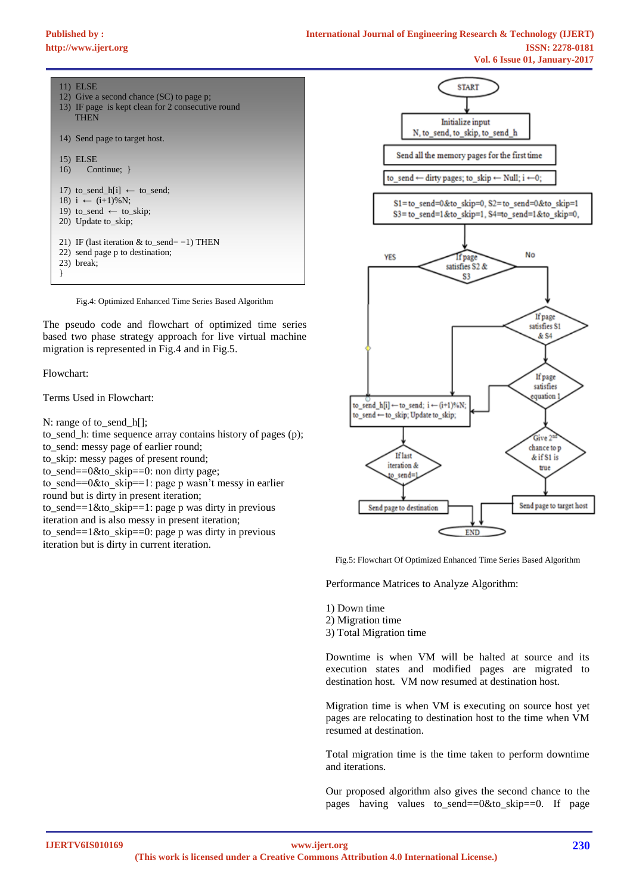# $\overline{1}$

| 11/ <del>படல்ப</del>                                             |  |
|------------------------------------------------------------------|--|
| 12) Give a second chance (SC) to page p;                         |  |
| 13) IF page is kept clean for 2 consecutive round<br><b>THEN</b> |  |
| 14) Send page to target host.                                    |  |
| 15) ELSE                                                         |  |
| $16)$ Continue; $\}$                                             |  |
| 17) to send h[i] $\leftarrow$ to send;                           |  |
| 18) $i \leftarrow (i+1)\% N;$                                    |  |
| 19) to send $\leftarrow$ to skip;                                |  |
| 20) Update to skip;                                              |  |
| 21) IF (last iteration & to_send= =1) THEN                       |  |
| 22) send page p to destination;                                  |  |
| 23) break;                                                       |  |
|                                                                  |  |
|                                                                  |  |

Fig.4: Optimized Enhanced Time Series Based Algorithm

The pseudo code and flowchart of optimized time series based two phase strategy approach for live virtual machine migration is represented in Fig.4 and in Fig.5.

Flowchart:

Terms Used in Flowchart:

N: range of to\_send\_h[];

to\_send\_h: time sequence array contains history of pages (p); to\_send: messy page of earlier round;

to\_skip: messy pages of present round;

to send==0&to skip==0: non dirty page;

to send==0&to skip==1: page p wasn't messy in earlier

round but is dirty in present iteration;

to\_send==1&to\_skip==1: page p was dirty in previous

iteration and is also messy in present iteration;

to\_send==1&to\_skip==0: page p was dirty in previous iteration but is dirty in current iteration.



Fig.5: Flowchart Of Optimized Enhanced Time Series Based Algorithm

Performance Matrices to Analyze Algorithm:

1) Down time

- 2) Migration time
- 3) Total Migration time

Downtime is when VM will be halted at source and its execution states and modified pages are migrated to destination host. VM now resumed at destination host.

Migration time is when VM is executing on source host yet pages are relocating to destination host to the time when VM resumed at destination.

Total migration time is the time taken to perform downtime and iterations.

Our proposed algorithm also gives the second chance to the pages having values to\_send==0&to\_skip==0. If page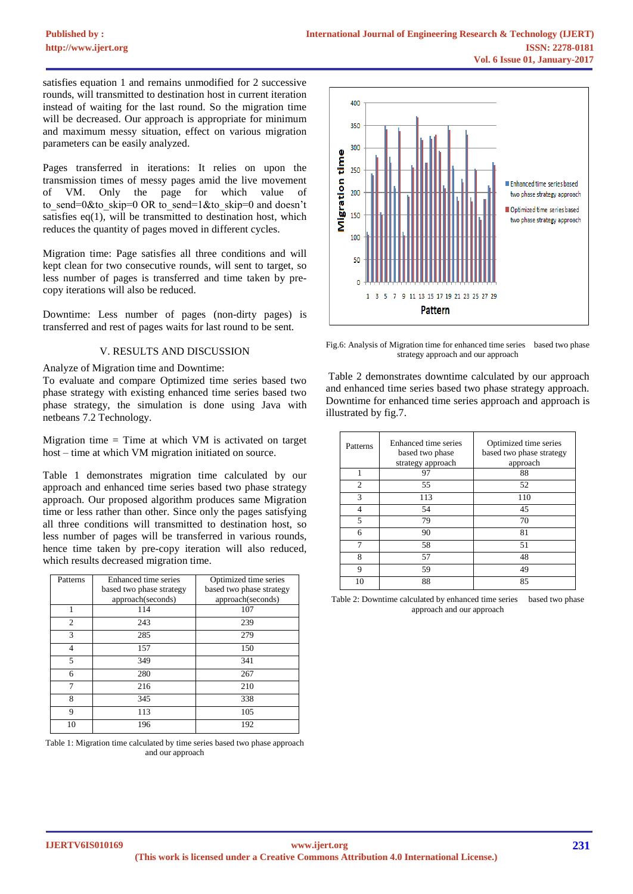satisfies equation 1 and remains unmodified for 2 successive rounds, will transmitted to destination host in current iteration instead of waiting for the last round. So the migration time will be decreased. Our approach is appropriate for minimum and maximum messy situation, effect on various migration parameters can be easily analyzed.

Pages transferred in iterations: It relies on upon the transmission times of messy pages amid the live movement of VM. Only the page for which value of to send=0&to skip=0 OR to send=1&to skip=0 and doesn't satisfies  $eq(1)$ , will be transmitted to destination host, which reduces the quantity of pages moved in different cycles.

Migration time: Page satisfies all three conditions and will kept clean for two consecutive rounds, will sent to target, so less number of pages is transferred and time taken by precopy iterations will also be reduced.

Downtime: Less number of pages (non-dirty pages) is transferred and rest of pages waits for last round to be sent.

#### V. RESULTS AND DISCUSSION

Analyze of Migration time and Downtime:

To evaluate and compare Optimized time series based two phase strategy with existing enhanced time series based two phase strategy, the simulation is done using Java with netbeans 7.2 Technology.

Migration time  $=$  Time at which VM is activated on target host – time at which VM migration initiated on source.

Table 1 demonstrates migration time calculated by our approach and enhanced time series based two phase strategy approach. Our proposed algorithm produces same Migration time or less rather than other. Since only the pages satisfying all three conditions will transmitted to destination host, so less number of pages will be transferred in various rounds, hence time taken by pre-copy iteration will also reduced, which results decreased migration time.

| Patterns       | Enhanced time series<br>based two phase strategy<br>approach(seconds) | Optimized time series<br>based two phase strategy<br>approach(seconds) |
|----------------|-----------------------------------------------------------------------|------------------------------------------------------------------------|
| 1              | 114                                                                   | 107                                                                    |
| $\overline{c}$ | 243                                                                   | 239                                                                    |
| 3              | 285                                                                   | 279                                                                    |
| $\overline{4}$ | 157                                                                   | 150                                                                    |
| 5              | 349                                                                   | 341                                                                    |
| 6              | 280                                                                   | 267                                                                    |
| 7              | 216                                                                   | 210                                                                    |
| 8              | 345                                                                   | 338                                                                    |
| 9              | 113                                                                   | 105                                                                    |
| 10             | 196                                                                   | 192                                                                    |

Table 1: Migration time calculated by time series based two phase approach and our approach



Fig.6: Analysis of Migration time for enhanced time series based two phase strategy approach and our approach

Table 2 demonstrates downtime calculated by our approach and enhanced time series based two phase strategy approach. Downtime for enhanced time series approach and approach is illustrated by fig.7.

| Patterns       | Enhanced time series<br>based two phase<br>strategy approach | Optimized time series<br>based two phase strategy<br>approach |
|----------------|--------------------------------------------------------------|---------------------------------------------------------------|
|                | 97                                                           | 88                                                            |
| $\overline{c}$ | 55                                                           | 52                                                            |
| 3              | 113                                                          | 110                                                           |
| 4              | 54                                                           | 45                                                            |
| 5              | 79                                                           | 70                                                            |
| 6              | 90                                                           | 81                                                            |
|                | 58                                                           | 51                                                            |
| 8              | 57                                                           | 48                                                            |
| 9              | 59                                                           | 49                                                            |
| 10             | 88                                                           | 85                                                            |

Table 2: Downtime calculated by enhanced time series based two phase approach and our approach